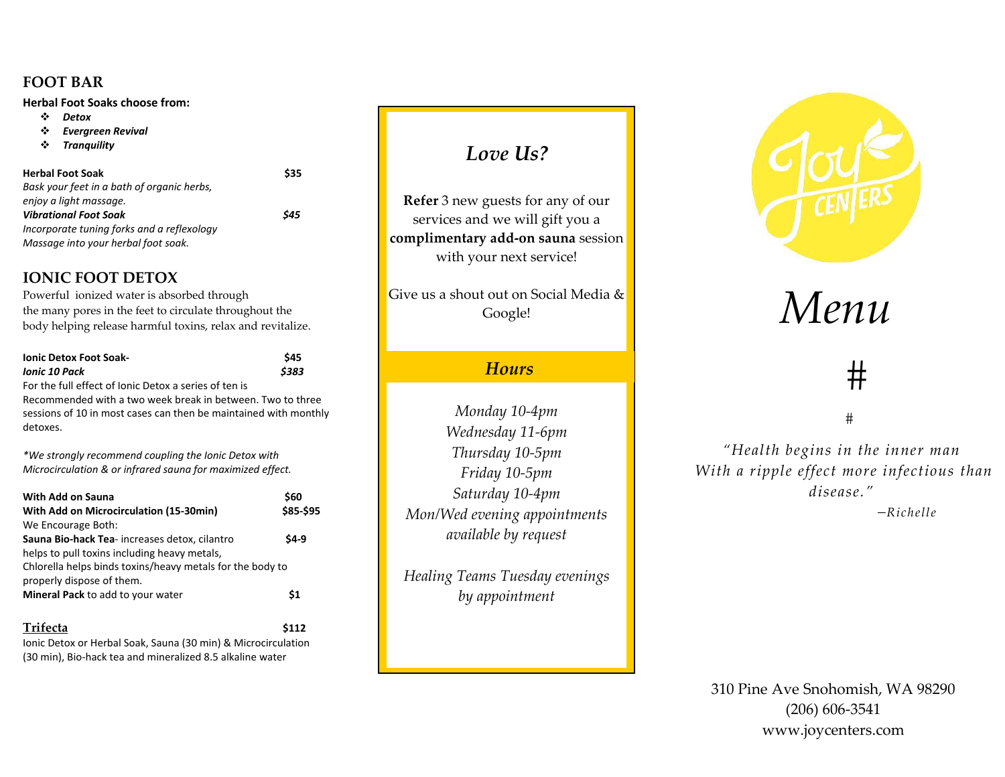#### **FOOT BAR**

**Herbal Foot Soaks choose from:**

- $\mathcal{L}$ *Detox*
- ❖ *Evergreen Revival*
- ❖ *Tranquility*

**Herbal Foot Soak**k \$35 *Bask your feet in <sup>a</sup> bath of organic herbs, enjoy <sup>a</sup> light massage. Vibrational Foot Soak \$45 Incorporate tuning forks and <sup>a</sup> reflexology Massage into your herbal foot soak.*

## **IONIC FOOT DETOX**

Powerful ionized water is absorbed through the many pores in the feet to circulate throughout the body helping release harmful toxins, relax and revitalize.

| <b>Ionic Detox Foot Soak-</b>                         | <b>S45</b> |
|-------------------------------------------------------|------------|
| Ionic 10 Pack                                         | \$383      |
| For the full effect of Ionic Detox a series of ten is |            |

Recommended with <sup>a</sup> two week break in between. Two to three sessions of 10 in most cases can then be maintained with monthly detoxes.

*\*We strongly recommend coupling the Ionic Detox with Microcirculation & or infrared sauna for maximized effect.*

| With Add on Sauna                                         | \$60      |
|-----------------------------------------------------------|-----------|
| With Add on Microcirculation (15-30min)                   | \$85-\$95 |
| We Encourage Both:                                        |           |
| Sauna Bio-hack Tea-increases detox, cilantro              | \$4-9     |
| helps to pull toxins including heavy metals,              |           |
| Chlorella helps binds toxins/heavy metals for the body to |           |
| properly dispose of them.                                 |           |
| <b>Mineral Pack to add to your water</b>                  | \$1       |
| Trifecta                                                  | \$112     |

Ionic Detox or Herbal Soak, Sauna (30 min) & Microcirculation (30 min), Bio‐hack tea and mineralized 8.5 alkaline water

# *Love Us?*

**Refer** 3 new guests for any of our services and we will gift you <sup>a</sup> **complimentary add‐on sauna** session with your next service!

Give us a shout out on Social Media &Google!

# *Hours*

*Monday 10‐4pm Wednesday <sup>11</sup>‐6pm Thursday 10‐5pm Friday 10‐5pm Saturday 10‐4pm Mon/Wed evening appointments available by reques<sup>t</sup>*

*Healing Teams Tuesday evenings by appointment*



# *Menu*

# #

 $#$ 

*"Health begins in the inner man With <sup>a</sup> ripple effect more infectious than disease."*

*–Richelle*

310 Pine Ave Snohomish, WA 98290 (206) 606‐3541 www.joycenters.com